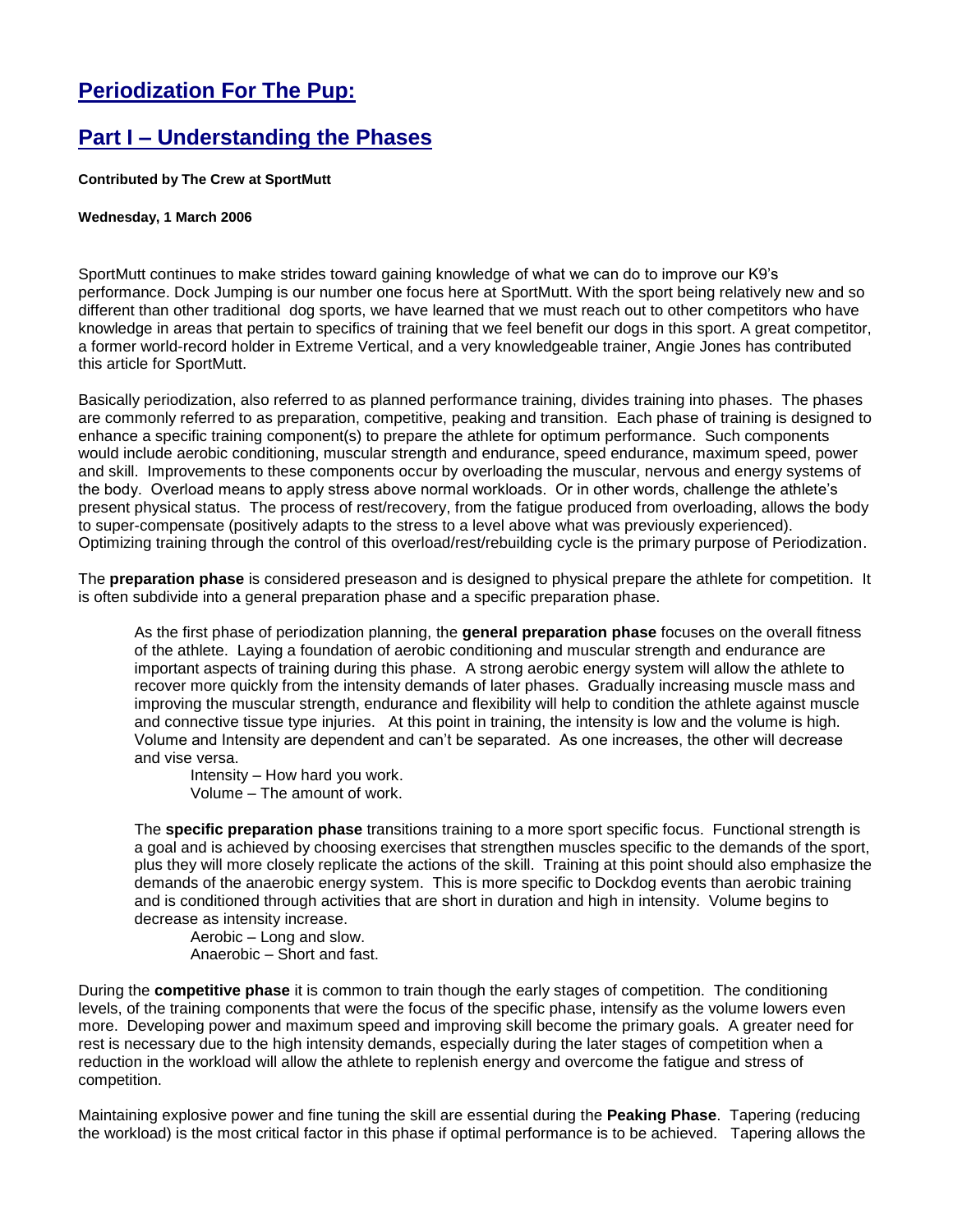## **Periodization For The Pup:**

## **Part I – Understanding the Phases**

**Contributed by The Crew at SportMutt**

## **Wednesday, 1 March 2006**

SportMutt continues to make strides toward gaining knowledge of what we can do to improve our K9's performance. Dock Jumping is our number one focus here at SportMutt. With the sport being relatively new and so different than other traditional dog sports, we have learned that we must reach out to other competitors who have knowledge in areas that pertain to specifics of training that we feel benefit our dogs in this sport. A great competitor, a former world-record holder in Extreme Vertical, and a very knowledgeable trainer, Angie Jones has contributed this article for SportMutt.

Basically periodization, also referred to as planned performance training, divides training into phases. The phases are commonly referred to as preparation, competitive, peaking and transition. Each phase of training is designed to enhance a specific training component(s) to prepare the athlete for optimum performance. Such components would include aerobic conditioning, muscular strength and endurance, speed endurance, maximum speed, power and skill. Improvements to these components occur by overloading the muscular, nervous and energy systems of the body. Overload means to apply stress above normal workloads. Or in other words, challenge the athlete's present physical status. The process of rest/recovery, from the fatigue produced from overloading, allows the body to super-compensate (positively adapts to the stress to a level above what was previously experienced). Optimizing training through the control of this overload/rest/rebuilding cycle is the primary purpose of Periodization.

The **preparation phase** is considered preseason and is designed to physical prepare the athlete for competition. It is often subdivide into a general preparation phase and a specific preparation phase.

As the first phase of periodization planning, the **general preparation phase** focuses on the overall fitness of the athlete. Laying a foundation of aerobic conditioning and muscular strength and endurance are important aspects of training during this phase. A strong aerobic energy system will allow the athlete to recover more quickly from the intensity demands of later phases. Gradually increasing muscle mass and improving the muscular strength, endurance and flexibility will help to condition the athlete against muscle and connective tissue type injuries. At this point in training, the intensity is low and the volume is high. Volume and Intensity are dependent and can't be separated. As one increases, the other will decrease and vise versa.

Intensity – How hard you work.

Volume – The amount of work.

The **specific preparation phase** transitions training to a more sport specific focus. Functional strength is a goal and is achieved by choosing exercises that strengthen muscles specific to the demands of the sport, plus they will more closely replicate the actions of the skill. Training at this point should also emphasize the demands of the anaerobic energy system. This is more specific to Dockdog events than aerobic training and is conditioned through activities that are short in duration and high in intensity. Volume begins to decrease as intensity increase.

Aerobic – Long and slow. Anaerobic – Short and fast.

During the **competitive phase** it is common to train though the early stages of competition. The conditioning levels, of the training components that were the focus of the specific phase, intensify as the volume lowers even more. Developing power and maximum speed and improving skill become the primary goals. A greater need for rest is necessary due to the high intensity demands, especially during the later stages of competition when a reduction in the workload will allow the athlete to replenish energy and overcome the fatigue and stress of competition.

Maintaining explosive power and fine tuning the skill are essential during the **Peaking Phase**. Tapering (reducing the workload) is the most critical factor in this phase if optimal performance is to be achieved. Tapering allows the